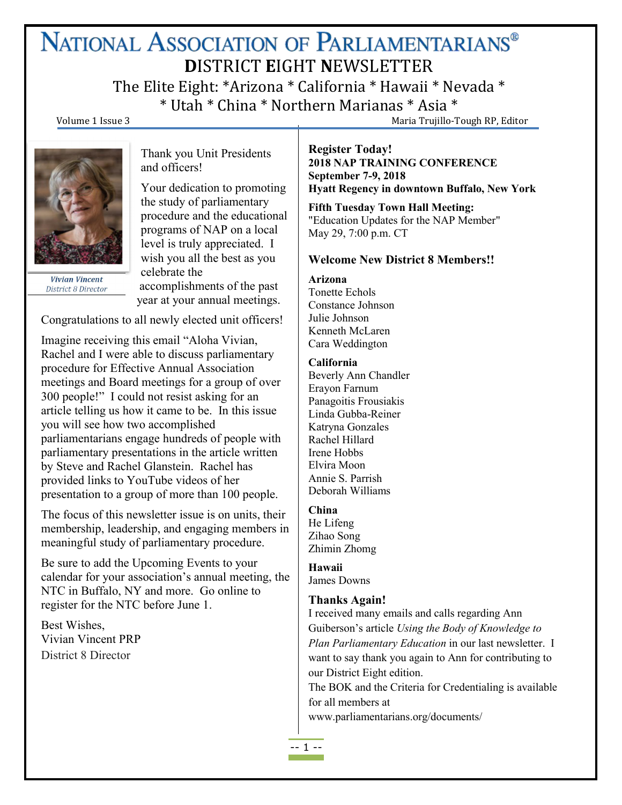# NATIONAL ASSOCIATION OF PARLIAMENTARIANS® **D**ISTRICT **E**IGHT **N**EWSLETTER

The Elite Eight: \*Arizona \* California \* Hawaii \* Nevada \* \* Utah \* China \* Northern Marianas \* Asia \*

Volume 1 Issue 3 Maria Trujillo-Tough RP, Editor



**Vivian Vincent District 8 Director** 

Thank you Unit Presidents and officers!

Your dedication to promoting the study of parliamentary procedure and the educational programs of NAP on a local level is truly appreciated. I wish you all the best as you celebrate the accomplishments of the past year at your annual meetings.

Congratulations to all newly elected unit officers!

Imagine receiving this email "Aloha Vivian, Rachel and I were able to discuss parliamentary procedure for Effective Annual Association meetings and Board meetings for a group of over 300 people!" I could not resist asking for an article telling us how it came tobe. In this issue you will see how two accomplished parliamentarians engage hundreds of people with parliamentary presentations in the article written by Steve and Rachel Glanstein. Rachel has provided links to YouTube videos of her presentation to a group of more than 100 people.

The focus of this newsletter issue is on units, their membership, leadership, and engaging members in meaningful study of parliamentary procedure.

Be sure to add the Upcoming Events to your calendar for your association's annual meeting, the NTC in Buffalo, NY and more. Go online to register for the NTC before June 1.

Best Wishes, Vivian Vincent PRP District 8 Director

#### **Register Today! 2018 NAP TRAINING CONFERENCE September 7-9, 2018 Hyatt Regency in downtown Buffalo, New York**

**Fifth Tuesday Town Hall Meeting:** "Education Updates for the NAP Member" May 29, 7:00 p.m. CT

#### **Welcome New District 8 Members!!**

**Arizona**

Tonette Echols Constance Johnson Julie Johnson Kenneth McLaren Cara Weddington

#### **California**

Beverly Ann Chandler Erayon Farnum Panagoitis Frousiakis Linda Gubba-Reiner Katryna Gonzales Rachel Hillard Irene Hobbs Elvira Moon Annie S. Parrish Deborah Williams

# **China**

He Lifeng Zihao Song Zhimin Zhomg

**Hawaii** James Downs

# **Thanks Again!**

I received many emails and calls regarding Ann Guiberson's article *Using the Body of Knowledge to Plan Parliamentary Education* in our last newsletter. I want to say thank you again to Ann for contributing to our District Eight edition.

The BOK and the Criteria for Credentialing is available for all members at

www.parliamentarians.org/documents/

-- 1 --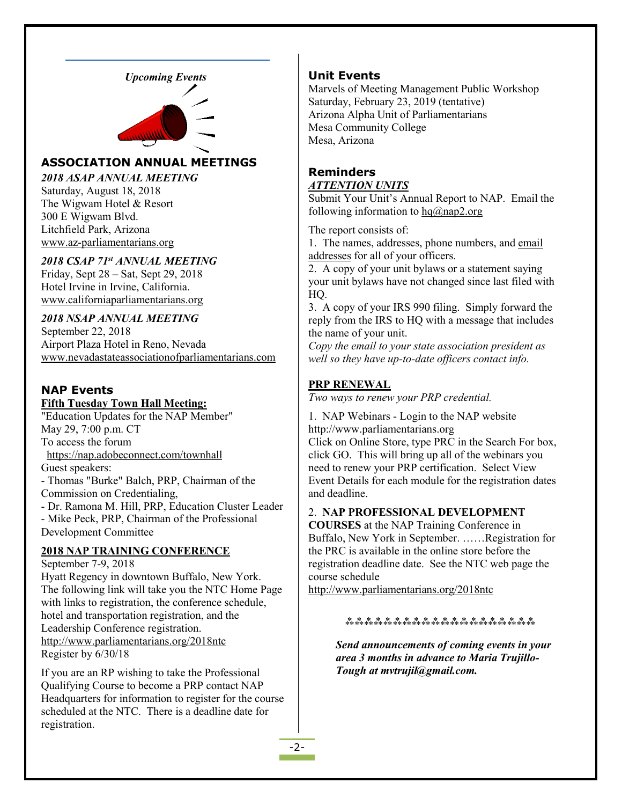



# **ASSOCIATION ANNUAL MEETINGS**

*2018 ASAP ANNUAL MEETING*

Saturday, August 18, 2018 The Wigwam Hotel & Resort 300 E Wigwam Blvd. Litchfield Park, Arizona [www.az-parliamentarians.org](http://www.az-parliamentarians.org)

# *2018 CSAP 71 st ANNUAL MEETING*

Friday, Sept 28 – Sat, Sept 29, 2018 Hotel Irvine in Irvine, California. [www.californiaparliamentarians.org](http://www.californiaparliamentarians.org)

# *2018 NSAP ANNUAL MEETING*

September 22, 2018 Airport Plaza Hotel in Reno, Nevada [www.nevadastateassociationofparliamentarians.com](http://www.nevadastateassociationofparliamentarians.com)

# **NAP Events**

#### **Fifth Tuesday Town Hall Meeting:**

"Education Updates for the NAP Member" May 29, 7:00 p.m. CT To access the forum <https://nap.adobeconnect.com/townhall> Guest speakers:

- Thomas "Burke" Balch, PRP, Chairman of the Commission on Credentialing,

- Dr. Ramona M. Hill, PRP, Education Cluster Leader - Mike Peck, PRP, Chairman of the Professional Development Committee

# **2018 NAP TRAINING CONFERENCE**

September 7-9, 2018 Hyatt Regency in downtown Buffalo, New York. The following link will take you the NTC Home Page with links to registration, the conference schedule, hotel and transportation registration, and the Leadership Conference registration. <http://www.parliamentarians.org/2018ntc> Register by 6/30/18

If you are an RP wishing to take the Professional Qualifying Course to become a PRP contact NAP Headquarters for information to register for the course scheduled at the NTC. There is a deadline date for registration.

#### **Unit Events**

Marvels of Meeting Management Public Workshop Saturday, February 23, 2019 (tentative) Arizona Alpha Unit of Parliamentarians Mesa Community College Mesa, Arizona

#### **Reminders** *ATTENTION UNITS*

Submit Your Unit's Annual Report to NAP. Email the following information to  $hq@$ nap2.org

The report consists of:

1. The names, addresses, phone numbers, and email addresses for all of your officers.

2. A copy of your unit bylaws or a statement saying your unit bylaws have not changed since last filed with HQ.

3. A copy of your IRS 990 filing. Simply forward the reply from the IRS to HQ with a message that includes the name of your unit.

*Copy the email to your state association president as well so they have up-to-date of icers contact info.*

#### **PRP RENEWAL**

*Two ways to renew your PRP credential.*

1. NAP Webinars - Login to the NAP website http://www.parliamentarians.org

Click on Online Store, type PRC in the Search For box, click GO. This will bring up all of the webinars you need to renew your PRP certification. Select View Event Details for each module for the registration dates and deadline.

#### 2. **NAP PROFESSIONAL DEVELOPMENT**

**COURSES** at the NAP Training Conference in Buffalo, New York in September.……Registration for the PRC is available in the online store before the registration deadline date. See the NTC web page the course schedule

<http://www.parliamentarians.org/2018ntc>

⁂⁂⁂⁂⁂⁂⁂⁂⁂⁂⁂⁂⁂⁂⁂⁂⁂⁂⁂⁂

*Send announcements ofcoming events in your area 3 months in advance to Maria Trujillo- Tough at mvtrujil@gmail.com.*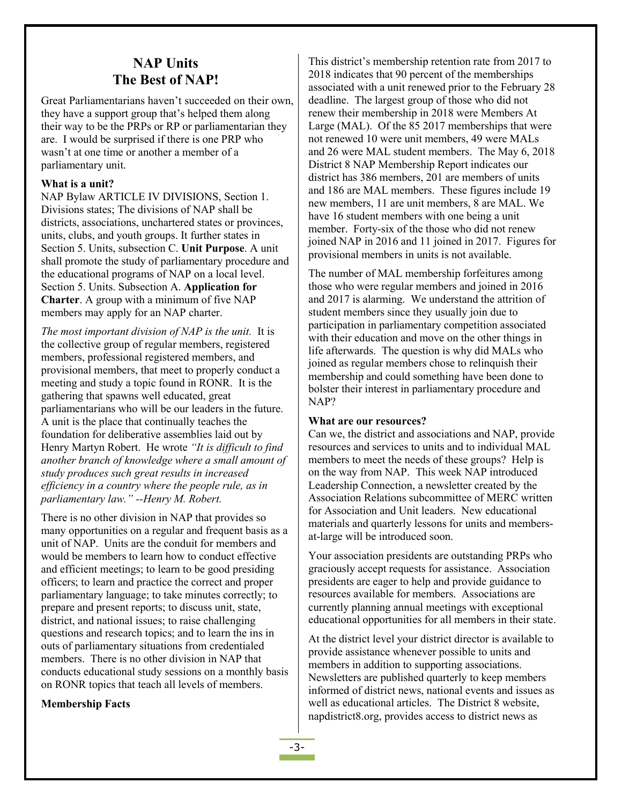# **NAP Units The Best of NAP!**

Great Parliamentarians haven't succeeded on their own, they have a support group that's helped them along their way to be the PRPs or RP or parliamentarian they are. I would be surprised if there is one PRP who wasn't at one time or another a member of a parliamentary unit.

#### **What is a unit?**

NAP Bylaw ARTICLE IV DIVISIONS, Section 1. Divisions states; The divisions of NAP shall be districts, associations, unchartered states or provinces, units, clubs, and youth groups. It further states in Section 5. Units, subsection C. **Unit Purpose**. A unit shall promote the study of parliamentary procedure and the educational programs of NAP on a local level. Section 5. Units. Subsection A. **Application for Charter**. A group with a minimum of five NAP members may apply for an NAP charter.

*The most important division of NAP is the unit.* Itis the collective group of regular members, registered members, professional registered members, and provisional members, that meet to properly conduct a meeting and study a topic found in RONR. It is the gathering that spawns well educated, great parliamentarians who will be our leaders in the future. A unit is the place that continually teaches the foundation for deliberative assemblies laid out by Henry Martyn Robert. He wrote *"It is dif icult to find another branch of knowledge where a smallamount of study produces such great results in increased ef iciency in a country where the people rule, as in parliamentary law." --Henry M. Robert.*

There is no other division in NAP that provides so many opportunities on a regular and frequent basis as a unit of NAP. Units are the conduit for members and would be members to learn how to conduct effective and efficient meetings; to learn to be good presiding officers; to learn and practice the correct and proper parliamentary language; to take minutes correctly; to prepare and present reports; to discuss unit, state, district, and national issues; to raise challenging questions and research topics; and to learn the ins in outs of parliamentary situations from credentialed members. There is no other division in NAP that conducts educational study sessions on a monthly basis on RONR topics that teach all levels of members.

#### **Membership Facts**

This district's membership retention rate from 2017 to 2018 indicates that 90 percent of the memberships associated with a unit renewed prior to the February 28 deadline. The largest group of those who did not renew their membership in 2018 were Members At Large (MAL). Of the 85 2017 memberships that were not renewed 10 were unit members, 49 were MALs and 26 were MAL student members. The May 6, 2018 District 8 NAP Membership Report indicates our district has 386 members, 201 are members of units and 186 are MAL members. These figures include 19 new members, 11 are unit members, 8 are MAL. We have 16 student members with one being a unit member. Forty-six of the those who did not renew joined NAP in 2016 and 11 joined in 2017. Figures for provisional members in units is not available.

The number of MAL membership forfeitures among those who were regular members and joined in 2016 and 2017 is alarming. We understand the attrition of student members since they usually join due to participation in parliamentary competition associated with their education and move on the other things in life afterwards. The question is why did MALs who joined as regular members chose to relinquish their membership and could something have been done to bolster their interest in parliamentary procedure and NAP?

#### **What are our resources?**

Can we, the district and associations and NAP, provide resources and services to units and to individual MAL members to meet the needs of these groups? Help is on the way from NAP. This week NAP introduced Leadership Connection, a newsletter created by the Association Relations subcommittee of MERC written for Association and Unit leaders. New educational materials and quarterly lessons for units and members at-large will be introduced soon.

Your association presidents are outstanding PRPs who graciously accept requests for assistance. Association presidents are eager to help and provide guidance to resources available for members. Associations are currently planning annual meetings with exceptional educational opportunities for all members in their state.

At the district level your district director is available to provide assistance whenever possible to units and members in addition to supporting associations. Newsletters are published quarterly to keep members informed of district news, national events and issues as well as educational articles. The District 8 website, napdistrict8.org, provides access to district news as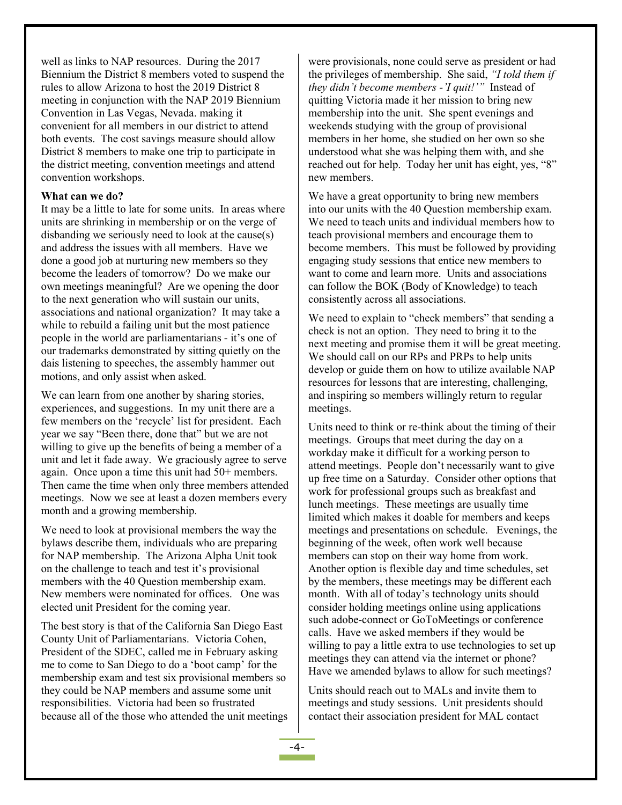well as links to NAP resources. During the 2017 Biennium the District 8 members voted to suspend the rules to allow Arizona to host the 2019 District 8 meeting in conjunction with the NAP 2019 Biennium Convention in Las Vegas, Nevada. making it convenient for all members in our district to attend both events. The cost savings measure should allow District 8 members to make one trip to participate in the district meeting, convention meetings and attend convention workshops.

#### **What can we do?**

It may be a little to late for some units. In areas where units are shrinking in membership or on the verge of disbanding we seriously need to look at the cause(s) and address the issues with all members. Have we done a good job at nurturing new members so they become the leaders of tomorrow? Do we make our own meetings meaningful? Are we opening the door to the next generation who will sustain our units, associations and national organization? It may take a while to rebuild a failing unit but the most patience people in the world are parliamentarians - it's one of our trademarks demonstrated by sitting quietly on the dais listening to speeches, the assembly hammer out motions, and only assist when asked.

We can learn from one another by sharing stories, experiences, and suggestions. In my unit there are a few members on the 'recycle' list for president. Each year we say "Been there, done that" but we are not willing to give up the benefits of being a member of a unit and let it fade away. We graciously agree to serve again. Once upon a time this unit had 50+ members. Then came the time when only three members attended meetings. Now we see at least a dozen members every month and a growing membership.

We need to look at provisional members the way the bylaws describe them, individuals who are preparing for NAP membership. The Arizona Alpha Unit took on the challenge to teach and test it's provisional members with the 40 Question membership exam. New members were nominated for offices. One was elected unit President for the coming year.

The best story is that of the California San Diego East County Unit of Parliamentarians. Victoria Cohen, President of the SDEC, called me in February asking me to come to San Diego to do a 'boot camp' for the membership exam and test six provisional members so they could be NAP members and assume some unit responsibilities. Victoria had been so frustrated because all of the those who attended the unit meetings were provisionals, none could serve as president or had the privileges of membership. She said, *''I told them if they didn't become members -'I quit!'"* Instead of quitting Victoria made ither mission to bring new membership into the unit. She spent evenings and weekends studying with the group of provisional members in her home, she studied on her own so she understood what she was helping them with, and she reached out for help. Today her unit has eight, yes, "8" new members.

We have a great opportunity to bring new members into our units with the 40 Question membership exam. We need to teach units and individual members how to teach provisional members and encourage them to become members. This must be followed by providing engaging study sessions that entice new members to want to come and learn more. Units and associations can follow the BOK (Body of Knowledge) to teach consistently across all associations.

We need to explain to "check members" that sending a check is not an option. They need to bring it to the next meeting and promise them it will be great meeting. We should call on our RPs and PRPs to help units develop or guide them on how to utilize available NAP resources for lessons that are interesting, challenging, and inspiring so members willingly return to regular meetings.

Units need to think or re-think about the timing of their meetings. Groups that meet during the day on a workday make it difficult for a working person to attend meetings. People don't necessarily want to give up free time on a Saturday. Consider other options that work for professional groups such as breakfast and lunch meetings. These meetings are usually time limited which makes it doable for members and keeps meetings and presentations on schedule. Evenings, the beginning of the week, often work well because members can stop on their way home from work. Another option is flexible day and time schedules, set by the members, these meetings may be different each month. With all of today's technology units should consider holding meetings online using applications such adobe-connect or GoToMeetings or conference calls. Have we asked members if they would be willing to pay a little extra to use technologies to set up meetings they can attend via the internet or phone? Have we amended bylaws to allow for such meetings?

Units should reach out to MALs and invite them to meetings and study sessions. Unit presidents should contact their association president for MAL contact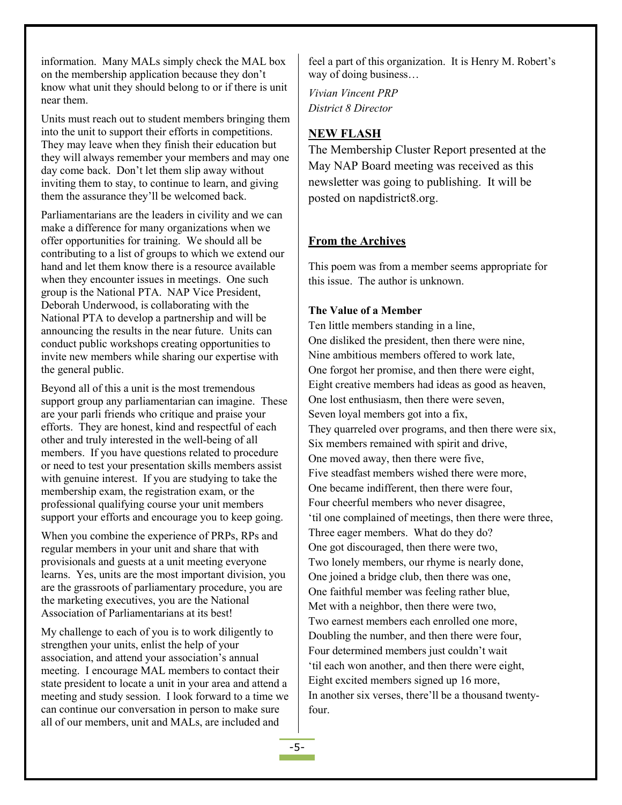information. Many MALs simply check the MAL box on the membership application because they don't know what unit they should belong to or if there is unit near them.

Units must reach out to student members bringing them into the unit to support their efforts in competitions. They may leave when they finish their education but they will always remember your members and may one day come back. Don't let them slip away without inviting them to stay, to continue to learn, and giving them the assurance they'll be welcomed back.

Parliamentarians are the leaders in civility and we can make a difference for many organizations when we offer opportunities for training. We should all be contributing to a list of groups to which we extend our hand and let them know there is a resource available when they encounter issues in meetings. One such group is the National PTA. NAP Vice President, Deborah Underwood, is collaborating with the National PTA to develop a partnership and will be announcing the results in the near future. Units can conduct public workshops creating opportunities to invite new members while sharing our expertise with the general public.

Beyond all of this a unit is the most tremendous support group any parliamentarian can imagine. These are your parli friends who critique and praise your efforts. They are honest, kind and respectful of each other and truly interested in the well-being of all members. If you have questions related to procedure or need to test your presentation skills members assist with genuine interest. If you are studying to take the membership exam, the registration exam, or the professional qualifying course your unit members support your efforts and encourage you to keep going.

When you combine the experience of PRPs, RPs and regular members in your unit and share that with provisionals and guests at a unit meeting everyone learns. Yes, units are the most important division, you  $\Box$  One joined a bridge club, then there was one, are the grassroots of parliamentary procedure, you are the marketing executives, you are the National<br>Met with a neighbor, then there were two. Association of Parliamentarians at its best!

My challenge to each of you is to work diligently to strengthen your units, enlist the help of your association, and attend your association's annual meeting. I encourage MAL members to contact their state president to locate a unit in your area and attend a meeting and study session. I look forward to a time we can continue our conversation in person to make sure all of our members, unit and MALs, are included and

feel a part of this organization. It is Henry M. Robert's way of doing business…

*Vivian Vincent PRP District 8 Director*

# **NEW FLASH**

The Membership Cluster Report presented at the May NAP Board meeting was received as this newsletter was going to publishing. It will be posted on napdistrict8.org.

# **From the Archives**

This poem was from a member seems appropriate for this issue. The author is unknown.

#### **The Value of a Member**

Ten little members standing in a line, One disliked the president, then there were nine, Nine ambitious members offered to work late, One forgot her promise, and then there were eight, Eight creative members had ideas as good as heaven, One lost enthusiasm, then there were seven, Seven loyal members got into a fix, They quarreled over programs, and then there were six, Six members remained with spirit and drive, One moved away, then there were five, Five steadfast members wished there were more, One became indifferent, then there were four, Four cheerful members who never disagree, 'til one complained of meetings, then there were three, Three eager members. What do they do? One got discouraged, then there were two, Two lonely members, our rhyme is nearly done, One faithful member was feeling rather blue, Two earnest members each enrolled one more, Doubling the number, and then there were four, Four determined members just couldn't wait 'til each won another, and then there were eight, Eight excited members signed up 16 more, In another six verses, there'll be a thousand twentyfour.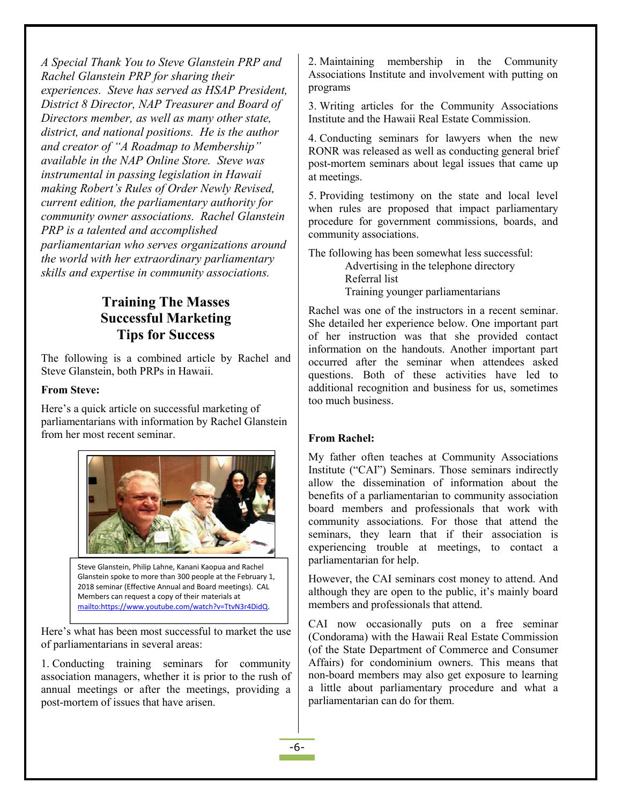*A Special Thank You to Steve Glanstein PRP and Rachel Glanstein PRP for sharing their experiences. Steve has served as HSAP President, District 8 Director, NAP Treasurer and Board of Directors member, as well as many other state, district, and national positions. He is the author and creator of"A Roadmap to Membership" available in the NAP Online Store. Steve was instrumental in passing legislation in Hawaii making Robert's Rules of Order Newly Revised,current edition, the parliamentary authority for community owner associations. Rachel Glanstein PRP is a talented and accomplished parliamentarian who serves organizations around the world with her extraordinary parliamentary skills and expertise in community associations.*

# **Training The Masses Successful Marketing Tips for Success**

The following is a combined article by Rachel and Steve Glanstein, both PRPs in Hawaii.

#### **From Steve:**

Here's a quick article on successful marketing of parliamentarians with information by Rachel Glanstein from her most recent seminar.



Steve Glanstein, Philip Lahne, Kanani Kaopua and Rachel Glanstein spoke to more than 300 people at the February 1, 2018 seminar (Effective Annual and Board meetings). CAL Members can request a copy of their materials at<br>[mailto:https://www.youtube.com/watch?v=TtvN3r4DidQ.](mailto:https://www.youtube.com/watch?v=TtvN3r4DidQ)

Here's what has been most successful to market the use of parliamentarians in several areas:

1. Conducting training seminars for community association managers, whether it is prior to the rush of annual meetings or after the meetings, providing a post-mortem of issues that have arisen.

2. Maintaining membership in the Community Associations Institute and involvement with putting on programs

3. Writing articles for the Community Associations Institute and the Hawaii Real Estate Commission.

4. Conducting seminars for lawyers when the new RONR was released as well as conducting general brief post-mortem seminars about legal issues that came up at meetings.

5. Providing testimony on the state and local level when rules are proposed that impact parliamentary procedure for government commissions, boards, and community associations.

The following has been somewhat less successful: Advertising in the telephone directory Referral list Training younger parliamentarians

Rachel was one of the instructors in a recent seminar. She detailed her experience below. One important part of her instruction was that she provided contact information on the handouts. Another important part occurred after the seminar when attendees asked questions. Both of these activities have led to additional recognition and business for us, sometimes too much business.

#### **From Rachel:**

My father often teaches at Community Associations Institute ("CAI") Seminars. Those seminars indirectly allow the dissemination of information about the benefits of a parliamentarian to community association board members and professionals that work with community associations. For those that attend the seminars, they learn that if their association is experiencing trouble at meetings, to contact a parliamentarian for help.

However, the CAI seminars cost money to attend. And although they are open to the public, it's mainly board members and professionals that attend.

CAI now occasionally puts on a free seminar (Condorama) with the Hawaii Real Estate Commission (of the State Department of Commerce and Consumer Affairs) for condominium owners. This means that non-board members may also get exposure to learning a little about parliamentary procedure and what a parliamentarian can do for them.